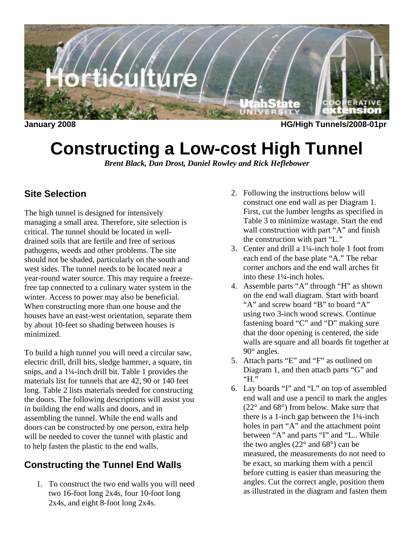

**January 2008 HG/High Tunnels/2008-01pr** 

# **Constructing a Low-cost High Tunnel**

*Brent Black, Dan Drost, Daniel Rowley and Rick Heflebower* 

# **Site Selection**

The high tunnel is designed for intensively managing a small area. Therefore, site selection is critical. The tunnel should be located in welldrained soils that are fertile and free of serious pathogens, weeds and other problems. The site should not be shaded, particularly on the south and west sides. The tunnel needs to be located near a year-round water source. This may require a freezefree tap connected to a culinary water system in the winter. Access to power may also be beneficial. When constructing more than one house and the houses have an east-west orientation, separate them by about 10-feet so shading between houses is minimized.

To build a high tunnel you will need a circular saw, electric drill, drill bits, sledge hammer, a square, tin snips, and a 1¼-inch drill bit. Table 1 provides the materials list for tunnels that are 42, 90 or 140 feet long. Table 2 lists materials needed for constructing the doors. The following descriptions will assist you in building the end walls and doors, and in assembling the tunnel. While the end walls and doors can be constructed by one person, extra help will be needed to cover the tunnel with plastic and to help fasten the plastic to the end walls.

# **Constructing the Tunnel End Walls**

1. To construct the two end walls you will need two 16-foot long 2x4s, four 10-foot long 2x4s, and eight 8-foot long 2x4s.

- 2. Following the instructions below will construct one end wall as per Diagram 1. First, cut the lumber lengths as specified in Table 3 to minimize wastage. Start the end wall construction with part "A" and finish the construction with part "L."
- 3. Center and drill a 1¼-inch hole 1 foot from each end of the base plate "A." The rebar corner anchors and the end wall arches fit into these 1¼-inch holes.
- 4. Assemble parts "A" through "H" as shown on the end wall diagram. Start with board "A" and screw board "B" to board "A" using two 3-inch wood screws. Continue fastening board "C" and "D" making sure that the door opening is centered, the side walls are square and all boards fit together at 90° angles.
- 5. Attach parts "E" and "F" as outlined on Diagram 1, and then attach parts "G" and "H."
- 6. Lay boards "I" and "L" on top of assembled end wall and use a pencil to mark the angles (22° and 68°) from below. Make sure that there is a 1-inch gap between the  $1\frac{1}{4}$ -inch holes in part "A" and the attachment point between "A" and parts "I" and "L.. While the two angles (22° and 68°) can be measured, the measurements do not need to be exact, so marking them with a pencil before cutting is easier than measuring the angles. Cut the correct angle, position them as illustrated in the diagram and fasten them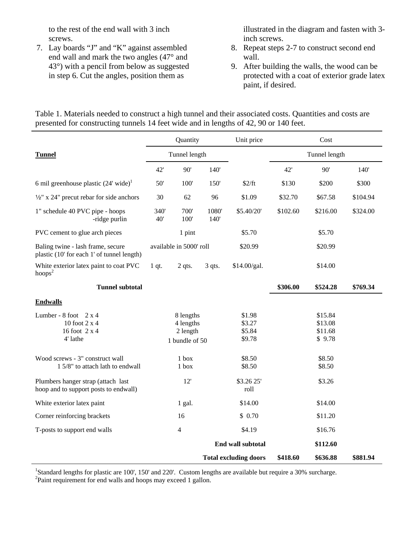to the rest of the end wall with 3 inch screws.

7. Lay boards "J" and "K" against assembled end wall and mark the two angles (47° and 43°) with a pencil from below as suggested in step 6. Cut the angles, position them as

illustrated in the diagram and fasten with 3 inch screws.

- 8. Repeat steps 2-7 to construct second end wall.
- 9. After building the walls, the wood can be protected with a coat of exterior grade latex paint, if desired.

Table 1. Materials needed to construct a high tunnel and their associated costs. Quantities and costs are presented for constructing tunnels 14 feet wide and in lengths of 42, 90 or 140 feet.

|                                                                                 | Quantity                |              |                    | Unit price                   |               | Cost     |          |
|---------------------------------------------------------------------------------|-------------------------|--------------|--------------------|------------------------------|---------------|----------|----------|
| <b>Tunnel</b>                                                                   | Tunnel length           |              |                    |                              | Tunnel length |          |          |
|                                                                                 | 42'                     | 90'          | 140'               |                              | 42'           | 90'      | 140'     |
| 6 mil greenhouse plastic $(24'$ wide) <sup>1</sup>                              | 50'                     | 100'         | 150'               | \$2/ft                       | \$130         | \$200    | \$300    |
| $\frac{1}{2}$ " x 24" precut rebar for side anchors                             | 30                      | 62           | 96                 | \$1.09                       | \$32.70       | \$67.58  | \$104.94 |
| 1" schedule 40 PVC pipe - hoops<br>-ridge purlin                                | 340'<br>40'             | 700'<br>100' | 1080'<br>140'      | \$5.40/20'                   | \$102.60      | \$216.00 | \$324.00 |
| PVC cement to glue arch pieces                                                  |                         | 1 pint       |                    | \$5.70                       |               | \$5.70   |          |
| Baling twine - lash frame, secure<br>plastic (10' for each 1' of tunnel length) | available in 5000' roll |              | \$20.99            |                              | \$20.99       |          |          |
| White exterior latex paint to coat PVC<br>$h$ oops <sup>2</sup>                 | $1$ qt.                 | $2$ qts.     | $3$ qts.           | \$14.00/gal.                 |               | \$14.00  |          |
| <b>Tunnel subtotal</b>                                                          |                         |              |                    |                              | \$306.00      | \$524.28 | \$769.34 |
| <b>Endwalls</b>                                                                 |                         |              |                    |                              |               |          |          |
| Lumber - $8$ foot $2 \times 4$                                                  | 8 lengths<br>4 lengths  |              |                    | \$1.98                       |               | \$15.84  |          |
| 10 foot 2 x 4                                                                   |                         |              |                    | \$3.27                       |               | \$13.08  |          |
| 16 foot 2 x 4                                                                   | 2 length                |              | \$5.84             | \$11.68                      |               |          |          |
| 4' lathe                                                                        | 1 bundle of 50          |              |                    | \$9.78                       |               | \$9.78   |          |
| Wood screws - 3" construct wall                                                 |                         | $1$ box      |                    | \$8.50                       |               | \$8.50   |          |
| 1 5/8" to attach lath to endwall                                                |                         | 1 box        |                    | \$8.50                       |               | \$8.50   |          |
| Plumbers hanger strap (attach last<br>hoop and to support posts to endwall)     | 12'                     |              | \$3.26 25'<br>roll | \$3.26                       |               |          |          |
| White exterior latex paint                                                      | 1 gal.                  |              | \$14.00            |                              | \$14.00       |          |          |
| Corner reinforcing brackets                                                     | 16                      |              | \$0.70             |                              | \$11.20       |          |          |
| T-posts to support end walls                                                    | 4                       |              | \$4.19             | \$16.76                      |               |          |          |
|                                                                                 |                         |              | End wall subtotal  |                              | \$112.60      |          |          |
|                                                                                 |                         |              |                    | <b>Total excluding doors</b> | \$418.60      | \$636.88 | \$881.94 |

<sup>1</sup>Standard lengths for plastic are 100', 150' and 220'. Custom lengths are available but require a 30% surcharge. <sup>2</sup>Paint requirement for end walls and hoops may exceed 1 gallon.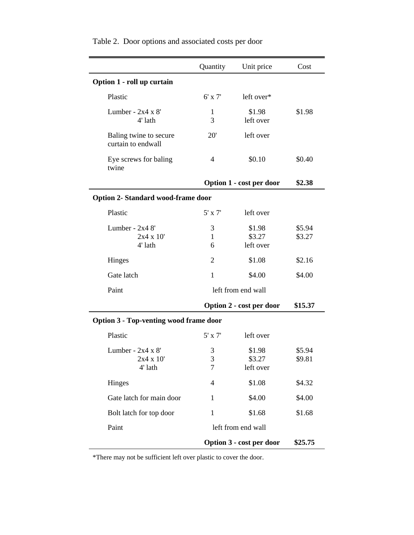|                                               | Quantity                              | Unit price                    | Cost             |  |  |
|-----------------------------------------------|---------------------------------------|-------------------------------|------------------|--|--|
| Option 1 - roll up curtain                    |                                       |                               |                  |  |  |
| Plastic                                       | $6'$ x $7'$                           | left over*                    |                  |  |  |
| Lumber - $2x4 \times 8'$<br>4' lath           | 1<br>3                                | \$1.98<br>left over           | \$1.98           |  |  |
| Baling twine to secure<br>curtain to endwall  | 20'                                   | left over                     |                  |  |  |
| Eye screws for baling<br>twine                | $\overline{4}$                        | \$0.10                        | \$0.40           |  |  |
|                                               | Option 1 - cost per door              |                               |                  |  |  |
| <b>Option 2- Standard wood-frame door</b>     |                                       |                               |                  |  |  |
| Plastic                                       | $5'$ x $7'$                           | left over                     |                  |  |  |
| Lumber - $2x48'$<br>2x4 x 10'<br>4' lath      | 3<br>1<br>6                           | \$1.98<br>\$3.27<br>left over | \$5.94<br>\$3.27 |  |  |
| Hinges                                        | 2                                     | \$1.08                        | \$2.16           |  |  |
| Gate latch                                    | 1                                     | \$4.00                        | \$4.00           |  |  |
| Paint                                         | left from end wall                    |                               |                  |  |  |
|                                               |                                       | Option 2 - cost per door      |                  |  |  |
| <b>Option 3 - Top-venting wood frame door</b> |                                       |                               |                  |  |  |
| Plastic                                       | $5'$ x $7'$                           | left over                     |                  |  |  |
| Lumber - $2x4x8'$<br>2x4 x 10'<br>4' lath     | 3<br>$\mathfrak{Z}$<br>$\overline{7}$ | \$1.98<br>\$3.27<br>left over | \$5.94<br>\$9.81 |  |  |
| Hinges                                        | 4                                     | \$1.08                        | \$4.32           |  |  |
| Gate latch for main door                      | 1                                     | \$4.00                        | \$4.00           |  |  |
| Bolt latch for top door                       | 1                                     | \$1.68                        | \$1.68           |  |  |
| Paint                                         | left from end wall                    |                               |                  |  |  |
|                                               | Option 3 - cost per door              | \$25.75                       |                  |  |  |

Table 2. Door options and associated costs per door

\*There may not be sufficient left over plastic to cover the door.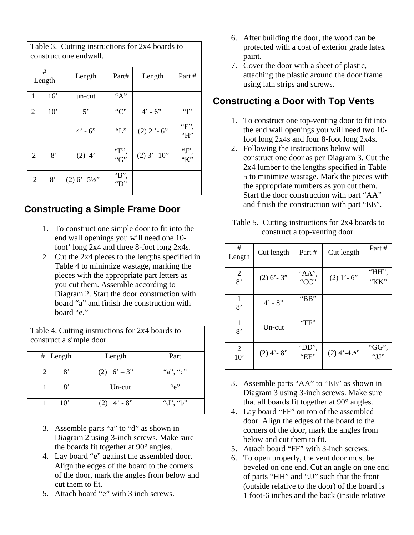Table 3. Cutting instructions for 2x4 boards to construct one endwall.

| #<br>Length |                |     | Length         | Part#                                                 | Length         | Part #               |
|-------------|----------------|-----|----------------|-------------------------------------------------------|----------------|----------------------|
|             | 1              | 16' | un-cut         | "A"                                                   |                |                      |
|             | $\overline{2}$ | 10' | $5^{\circ}$    | C                                                     | $4' - 6''$     | $\lq\lq\lq\lq\lq\lq$ |
|             |                |     | $4' - 6''$     | "L"                                                   | $(2)$ 2 '-6"   | "Е",<br>"H"          |
|             | 2              | 8'  | $(2)$ 4'       | "F"<br>" $G$ "                                        | $(2)$ 3' - 10" | $\lq\lq$ .<br>"K"    |
|             | $\overline{2}$ | 8'  | $(2)$ 6' - 5½" | $\lq$ <sup>*</sup> B <sup>*</sup><br>$\mathrm{``D''}$ |                |                      |

#### **Constructing a Simple Frame Door**

- 1. To construct one simple door to fit into the end wall openings you will need one 10 foot' long 2x4 and three 8-foot long 2x4s.
- 2. Cut the 2x4 pieces to the lengths specified in Table 4 to minimize wastage, marking the pieces with the appropriate part letters as you cut them. Assemble according to Diagram 2. Start the door construction with board "a" and finish the construction with board "e."

Table 4. Cutting instructions for 2x4 boards to construct a simple door. # Length Length Part 2 8'  $(2) 6' - 3''$  "a", "c" 1 8' Un-cut "e"  $1 \t10'$  (2)  $4' \t- 8''$  "d", "b"

- 3. Assemble parts "a" to "d" as shown in Diagram 2 using 3-inch screws. Make sure the boards fit together at 90° angles.
- 4. Lay board "e" against the assembled door. Align the edges of the board to the corners of the door, mark the angles from below and cut them to fit.
- 5. Attach board "e" with 3 inch screws.
- 6. After building the door, the wood can be protected with a coat of exterior grade latex paint.
- 7. Cover the door with a sheet of plastic, attaching the plastic around the door frame using lath strips and screws.

# **Constructing a Door with Top Vents**

- 1. To construct one top-venting door to fit into the end wall openings you will need two 10 foot long 2x4s and four 8-foot long 2x4s.
- 2. Following the instructions below will construct one door as per Diagram 3. Cut the 2x4 lumber to the lengths specified in Table 5 to minimize wastage. Mark the pieces with the appropriate numbers as you cut them. Start the door construction with part "AA" and finish the construction with part "EE".

| Table 5. Cutting instructions for 2x4 boards to<br>construct a top-venting door. |               |                             |               |               |  |
|----------------------------------------------------------------------------------|---------------|-----------------------------|---------------|---------------|--|
| #<br>Length                                                                      | Cut length    | Part #                      | Cut length    | Part #        |  |
| 2<br>8'                                                                          | $(2)$ 6' - 3" | "АА",<br>$C^{\prime\prime}$ | $(2)$ 1' - 6" | "НН",<br>"KK" |  |
| 1<br>8'                                                                          | $4' - 8''$    | "BB"                        |               |               |  |
| 1<br>8'                                                                          | Un-cut        | "FF"                        |               |               |  |
| 2<br>$10^{\circ}$                                                                | $(2)$ 4' - 8" | "DD",<br>"EE"               | $(2)$ 4'-4½"  | "GG",         |  |

- 3. Assemble parts "AA" to "EE" as shown in Diagram 3 using 3-inch screws. Make sure that all boards fit together at 90° angles.
- 4. Lay board "FF" on top of the assembled door. Align the edges of the board to the corners of the door, mark the angles from below and cut them to fit.
- 5. Attach board "FF" with 3-inch screws.
- 6. To open properly, the vent door must be beveled on one end. Cut an angle on one end of parts "HH" and "JJ" such that the front (outside relative to the door) of the board is 1 foot-6 inches and the back (inside relative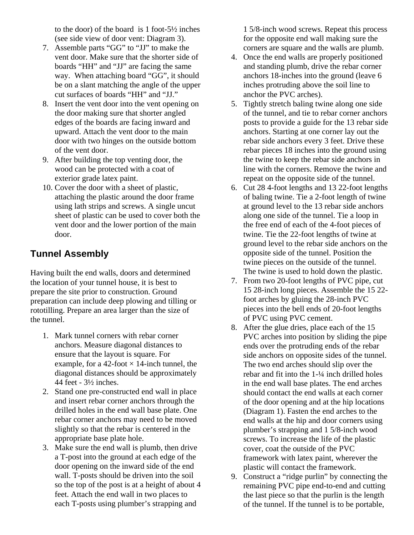to the door) of the board is 1 foot-5½ inches (see side view of door vent: Diagram 3).

- 7. Assemble parts "GG" to "JJ" to make the vent door. Make sure that the shorter side of boards "HH" and "JJ" are facing the same way. When attaching board "GG", it should be on a slant matching the angle of the upper cut surfaces of boards "HH" and "JJ."
- 8. Insert the vent door into the vent opening on the door making sure that shorter angled edges of the boards are facing inward and upward. Attach the vent door to the main door with two hinges on the outside bottom of the vent door.
- 9. After building the top venting door, the wood can be protected with a coat of exterior grade latex paint.
- 10. Cover the door with a sheet of plastic, attaching the plastic around the door frame using lath strips and screws. A single uncut sheet of plastic can be used to cover both the vent door and the lower portion of the main door.

### **Tunnel Assembly**

Having built the end walls, doors and determined the location of your tunnel house, it is best to prepare the site prior to construction. Ground preparation can include deep plowing and tilling or rototilling. Prepare an area larger than the size of the tunnel.

- 1. Mark tunnel corners with rebar corner anchors. Measure diagonal distances to ensure that the layout is square. For example, for a 42-foot  $\times$  14-inch tunnel, the diagonal distances should be approximately 44 feet - 3½ inches.
- 2. Stand one pre-constructed end wall in place and insert rebar corner anchors through the drilled holes in the end wall base plate. One rebar corner anchors may need to be moved slightly so that the rebar is centered in the appropriate base plate hole.
- 3. Make sure the end wall is plumb, then drive a T-post into the ground at each edge of the door opening on the inward side of the end wall. T-posts should be driven into the soil so the top of the post is at a height of about 4 feet. Attach the end wall in two places to each T-posts using plumber's strapping and

1 5/8-inch wood screws. Repeat this process for the opposite end wall making sure the corners are square and the walls are plumb.

- 4. Once the end walls are properly positioned and standing plumb, drive the rebar corner anchors 18-inches into the ground (leave 6 inches protruding above the soil line to anchor the PVC arches).
- 5. Tightly stretch baling twine along one side of the tunnel, and tie to rebar corner anchors posts to provide a guide for the 13 rebar side anchors. Starting at one corner lay out the rebar side anchors every 3 feet. Drive these rebar pieces 18 inches into the ground using the twine to keep the rebar side anchors in line with the corners. Remove the twine and repeat on the opposite side of the tunnel.
- 6. Cut 28 4-foot lengths and 13 22-foot lengths of baling twine. Tie a 2-foot length of twine at ground level to the 13 rebar side anchors along one side of the tunnel. Tie a loop in the free end of each of the 4-foot pieces of twine. Tie the 22-foot lengths of twine at ground level to the rebar side anchors on the opposite side of the tunnel. Position the twine pieces on the outside of the tunnel. The twine is used to hold down the plastic.
- 7. From two 20-foot lengths of PVC pipe, cut 15 28-inch long pieces. Assemble the 15 22 foot arches by gluing the 28-inch PVC pieces into the bell ends of 20-foot lengths of PVC using PVC cement.
- 8. After the glue dries, place each of the 15 PVC arches into position by sliding the pipe ends over the protruding ends of the rebar side anchors on opposite sides of the tunnel. The two end arches should slip over the rebar and fit into the 1-¼ inch drilled holes in the end wall base plates. The end arches should contact the end walls at each corner of the door opening and at the hip locations (Diagram 1). Fasten the end arches to the end walls at the hip and door corners using plumber's strapping and 1 5/8-inch wood screws. To increase the life of the plastic cover, coat the outside of the PVC framework with latex paint, wherever the plastic will contact the framework.
- 9. Construct a "ridge purlin" by connecting the remaining PVC pipe end-to-end and cutting the last piece so that the purlin is the length of the tunnel. If the tunnel is to be portable,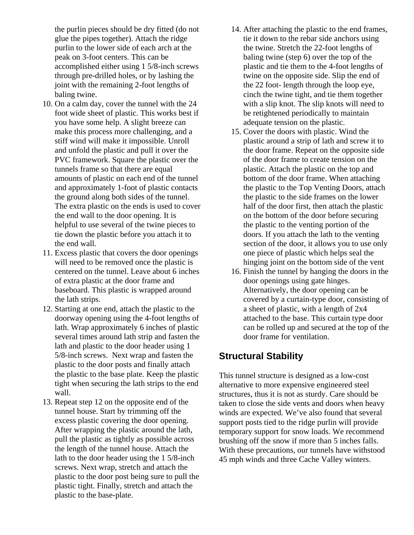the purlin pieces should be dry fitted (do not glue the pipes together). Attach the ridge purlin to the lower side of each arch at the peak on 3-foot centers. This can be accomplished either using 1 5/8-inch screws through pre-drilled holes, or by lashing the joint with the remaining 2-foot lengths of baling twine.

- 10. On a calm day, cover the tunnel with the 24 foot wide sheet of plastic. This works best if you have some help. A slight breeze can make this process more challenging, and a stiff wind will make it impossible. Unroll and unfold the plastic and pull it over the PVC framework. Square the plastic over the tunnels frame so that there are equal amounts of plastic on each end of the tunnel and approximately 1-foot of plastic contacts the ground along both sides of the tunnel. The extra plastic on the ends is used to cover the end wall to the door opening. It is helpful to use several of the twine pieces to tie down the plastic before you attach it to the end wall.
- 11. Excess plastic that covers the door openings will need to be removed once the plastic is centered on the tunnel. Leave about 6 inches of extra plastic at the door frame and baseboard. This plastic is wrapped around the lath strips.
- 12. Starting at one end, attach the plastic to the doorway opening using the 4-foot lengths of lath. Wrap approximately 6 inches of plastic several times around lath strip and fasten the lath and plastic to the door header using 1 5/8-inch screws. Next wrap and fasten the plastic to the door posts and finally attach the plastic to the base plate. Keep the plastic tight when securing the lath strips to the end wall.
- 13. Repeat step 12 on the opposite end of the tunnel house. Start by trimming off the excess plastic covering the door opening. After wrapping the plastic around the lath, pull the plastic as tightly as possible across the length of the tunnel house. Attach the lath to the door header using the 1 5/8-inch screws. Next wrap, stretch and attach the plastic to the door post being sure to pull the plastic tight. Finally, stretch and attach the plastic to the base-plate.
- 14. After attaching the plastic to the end frames, tie it down to the rebar side anchors using the twine. Stretch the 22-foot lengths of baling twine (step 6) over the top of the plastic and tie them to the 4-foot lengths of twine on the opposite side. Slip the end of the 22 foot- length through the loop eye, cinch the twine tight, and tie them together with a slip knot. The slip knots will need to be retightened periodically to maintain adequate tension on the plastic.
- 15. Cover the doors with plastic. Wind the plastic around a strip of lath and screw it to the door frame. Repeat on the opposite side of the door frame to create tension on the plastic. Attach the plastic on the top and bottom of the door frame. When attaching the plastic to the Top Venting Doors, attach the plastic to the side frames on the lower half of the door first, then attach the plastic on the bottom of the door before securing the plastic to the venting portion of the doors. If you attach the lath to the venting section of the door, it allows you to use only one piece of plastic which helps seal the hinging joint on the bottom side of the vent
- 16. Finish the tunnel by hanging the doors in the door openings using gate hinges. Alternatively, the door opening can be covered by a curtain-type door, consisting of a sheet of plastic, with a length of 2x4 attached to the base. This curtain type door can be rolled up and secured at the top of the door frame for ventilation.

#### **Structural Stability**

This tunnel structure is designed as a low-cost alternative to more expensive engineered steel structures, thus it is not as sturdy. Care should be taken to close the side vents and doors when heavy winds are expected. We've also found that several support posts tied to the ridge purlin will provide temporary support for snow loads. We recommend brushing off the snow if more than 5 inches falls. With these precautions, our tunnels have withstood 45 mph winds and three Cache Valley winters.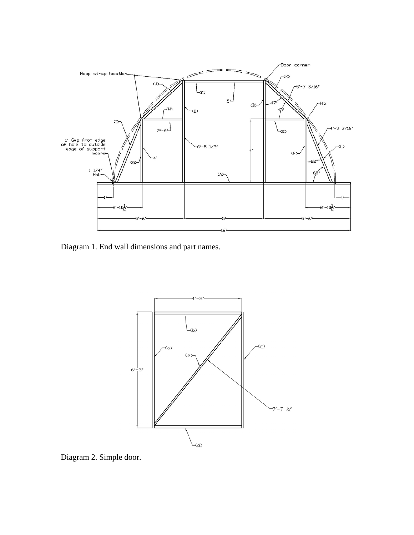

Diagram 1. End wall dimensions and part names.



Diagram 2. Simple door.